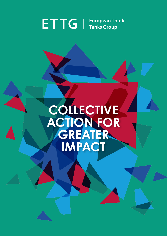#### **ETTG European Think Tanks Group**

## **COLLECTIVE ACTION FOR GREATER IMPACT**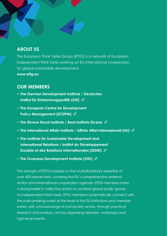### **ABOUT US**

The European Think Tanks Group (ETTG) is a network of European independent think tanks working on EU international cooperation for global sustainable development. **[www.ettg.eu](https://www.ettg.eu)**

#### **OUR MEMBERS**

- **• [The German Development Institute / Deutsches](https://www.die-gdi.de/en/)  [Institut für Entwicklungspolitik \(DIE\)](https://www.die-gdi.de/en/)**
- **• [The European Centre for Development](http://ecdpm.org/)  [Policy Management \(ECDPM\)](http://ecdpm.org/)**
- **• [The Elcano Royal Institute / Real Instituto Elcano](http://www.realinstitutoelcano.org/wps/portal/rielcano_en)**
- **• The [International Affairs Institute / Istituto Affari Internazionali \(IAI\)](http://www.iai.it/en)**
- **• [The Institute for Sustainable Development and](http://www.iddri.org/)  [International Relations / Institut du Développement](http://www.iddri.org/)  [Durable et des Relations Internationales \(IDDRI\)](http://www.iddri.org/)**
- **• [The Overseas Development Institute \(ODI\)](http://www.odi.org/)**

The strength of ETTG is based on the multidisciplinary expertise of over 400 researchers, covering the EU's comprehensive external action and international cooperation agenda. ETTG members share a strong belief in collective action to achieve global public goods. As independent think tanks, ETTG members systematically connect with the policymaking world at the level of the EU institutions and member states, with a broad range of civil society actors, through practical research and analysis, and by organising debates, workshops and high-level events.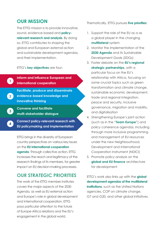#### **OUR MISSION**

The ETTG mission is to provide innovative, sound, evidence-based and **policyrelevant research and analysis**. By doing so, ETTG contributes to shaping the global and European external action and sustainable development agendas, and their implementation.

ETTG's **key objectives** are four:

**1**

**2**

**3**

**4**

**Inform and influence European and international cooperation**

**Facilitate, produce and disseminate evidence-based knowledge and innovative thinking**

**Convene and facilitate multi-stakeholder dialogue**

**Connect policy-relevant research with EU policymaking and implementation**

ETTG brings in the diversity of European country perspectives on various key issues on the **EU international cooperation agenda**. Through collective action, ETTG increases the reach and legitimacy of the research findings of its members, for greater impact on EU decision-making processes.

#### **OUR STRATEGIC PRIORITIES**

The work of the ETTG member institutes covers the major aspects of the 2030 Agenda, as well as EU external action and Europe's role in global development and international cooperation. ETTG pays particular attention to the future of Europe-Africa relations and the EU's engagement in the global world.

Thematically, ETTG pursues **five priorities**:

- 1. Support the role of the EU as a as a global player in the changing **multilateral** system
- 2. Monitor the implementation of the **2030 Agenda** and its Sustainable Development Goals (SDGs)
- 3. Foster debate on the **EU's regional strategic partnerships**, with a particular focus on the EU's relationship with Africa, focusing on some crucial topics such as areen transformation and climate change, sustainable economic development, trade and regional integration, peace and security, inclusive governance, migration and mobility, and digitalisation
- 4. Strengthening Europe's joint action (such as in the "**Team Europe**") and policy coherence agendas, including through more inclusive programming and management of EU resources under the new Neighbourhood, Development and International Cooperation Instrument (NDICI)
- 5. Promote policy analysis on the **global and EU finance** architecture for development

ETTG's work also links up with the **global development agendas of the multilateral institutions**, such as the United Nations agencies, COP on climate change, G7 and G20, and other global initiatives.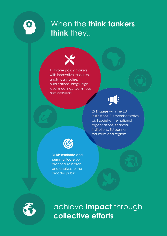### When the **think tankers think** they..



1) **Inform** policy makers with innovative research. analytical studies, publications, blogs, high level meetings, workshops and webinars



2) **Engage** with the EU institutions, EU member states, civil society, international organisations, financial institutions, EU partner countries and regions



3) **Disseminate** and **communicate** our practical research and analysis to the broader public



achieve **impact** through **collective efforts**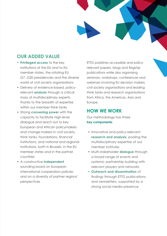#### **OUR ADDED VALUE**

- **• Privileged access** to the key institutions of the EU and to EU, member states, the rotating EU G7, G20 presidencies and the diverse world of civil society organisations
- Delivery of evidence-based, policyrelevant **analysis** through a critical mass of multidisciplinary experts, thanks to the breadth of expertise within our member think tanks
- Strong **convening power** with the capacity to facilitate high-level dialogue and reach out to key European and African policymakers and change-makers in civil society, think tanks, foundations, financial institutions, and national and regional institutions, both in Brussels, in the EU member states and in the partner countries
- A constructive **independent** sounding board on European international cooperation policies and on a diversity of partner regions' perspectives

ETTG publishes accessible and policyrelevant papers, blogs and flagship publications while also organising seminars, workshops, conferences and webinars involving EU decision makers, civil society organisations and leading think tanks and research organisations from Africa, the Americas, Asia and Europe.

#### **HOW WE WORK**

Our methodology has three **key components**:

- Innovative and policy-relevant **research and analysis**, pooling the multidisciplinary expertise of our member institutes
- Multi-stakeholder **dialogue** through a broad range of events and systemic partnership building with relevant players and networks
- **• Outreach and dissemination** of findings through ETTG publications and newsletters, supported by a strong social media presence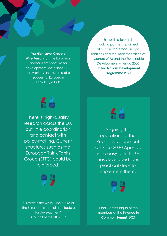The **High-Level Group of Wise Persons** on the European financial architecture for development, described ETTG Network as an example of a successful European Knowledge Hub:

Establish a forwardlooking partnership aimed at advancing Africa-Europe relations and the implementation of Agenda 2063 and the Sustainable Development Agenda 2030 **United Nations Development Programme 2021**



There is high-quality research across the EU, but little coordination and contact with policy-making. Current structures such as the European Think Tanks Group (ETTG) could be reinforced.



"Europe in the world - The future of the European financial architecture for development" **Council of the EU**, 2019



Aligning the operations of the Public Development Banks to 2030 Agenda is no easy task. ETTG has developed four practical steps to implement them.



Final Communiqué of the members of the **Finance in Common Summit** 2021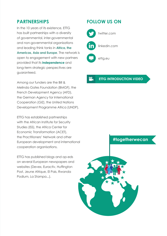#### **PARTNERSHIPS**

In the 10 years of its existence, ETTG has built partnerships with a diversity of governmental, inter-governmental and non-governmental organisations and leading think tanks in **Africa, the Americas, Asia and Europe**. The network is open to engagement with new partners provided that its **independence** and long-term strategic perspectives are guaranteed.

Among our funders are the Bill & Melinda Gates Foundation (BMGF), the French Development Agency (AFD), the German Agency for International Cooperation (GIZ), the United Nations Development Programme Africa (UNDP).

ETTG has established partnerships with the African Institute for Security Studies (ISS), the Africa Center for Economic Transformation (ACET), the Practitioners' Network and other European development and international cooperation organisations.

ETTG has published blogs and op-eds on several European newspapers and websites (Devex, Euractiv, Huffington Post, Jeune Afrique, El Pais, Rwanda Podium, La Stampa...).

#### **FOLLOW US ON**



[twitter.com](http://twitter.com/ettg_eu)

 [linkedin.com](https://www.linkedin.com/in/european-think-tanks-group-ettg-691b351b9/)

 [ettg.eu](https://ettg.eu/)

#### $^{00}$ **[ETTG INTRODUCTION VIDEO](https://www.youtube.com/watch?v=htAJcaeEBjs)**

#### **#togetherwecan**